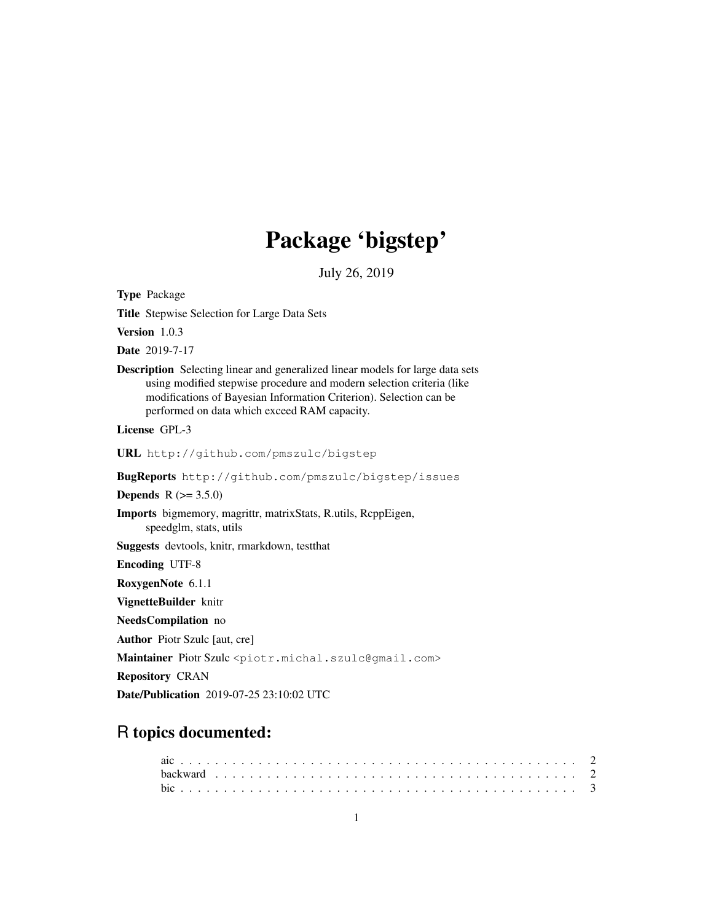# Package 'bigstep'

July 26, 2019

Type Package

Title Stepwise Selection for Large Data Sets

Version 1.0.3

Date 2019-7-17

Description Selecting linear and generalized linear models for large data sets using modified stepwise procedure and modern selection criteria (like modifications of Bayesian Information Criterion). Selection can be performed on data which exceed RAM capacity.

License GPL-3

URL http://github.com/pmszulc/bigstep

BugReports http://github.com/pmszulc/bigstep/issues

**Depends**  $R (= 3.5.0)$ 

Imports bigmemory, magrittr, matrixStats, R.utils, RcppEigen, speedglm, stats, utils

Suggests devtools, knitr, rmarkdown, testthat

Encoding UTF-8

RoxygenNote 6.1.1

VignetteBuilder knitr

NeedsCompilation no

Author Piotr Szulc [aut, cre]

Maintainer Piotr Szulc <piotr.michal.szulc@gmail.com>

Repository CRAN

Date/Publication 2019-07-25 23:10:02 UTC

# R topics documented: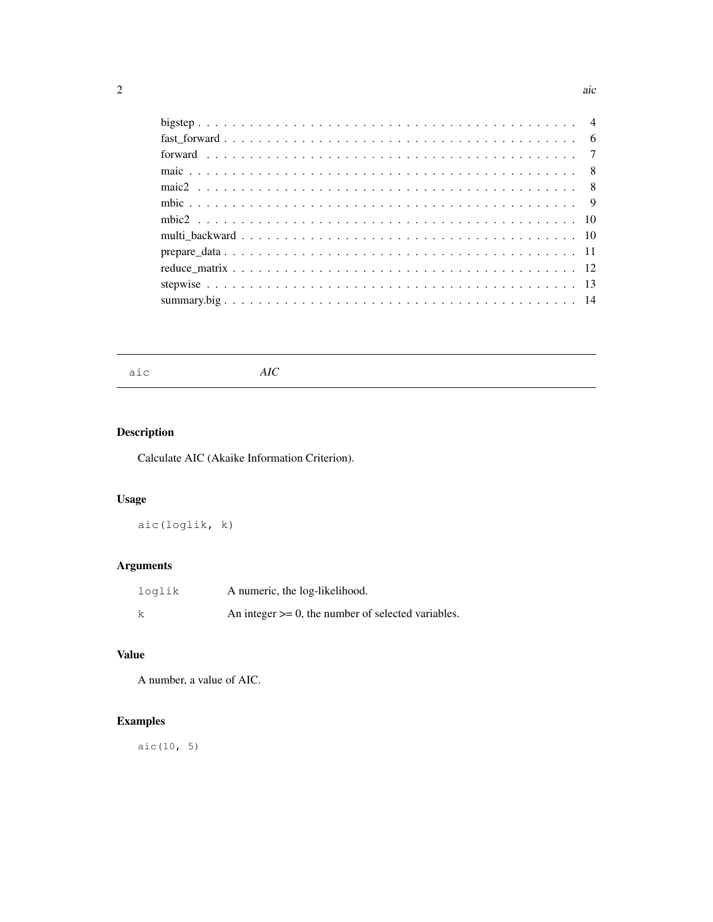aic *AIC*

# Description

Calculate AIC (Akaike Information Criterion).

# Usage

aic(loglik, k)

# Arguments

| loglik | A numeric, the log-likelihood.                          |
|--------|---------------------------------------------------------|
|        | An integer $\ge$ = 0, the number of selected variables. |

# Value

A number, a value of AIC.

# Examples

aic(10, 5)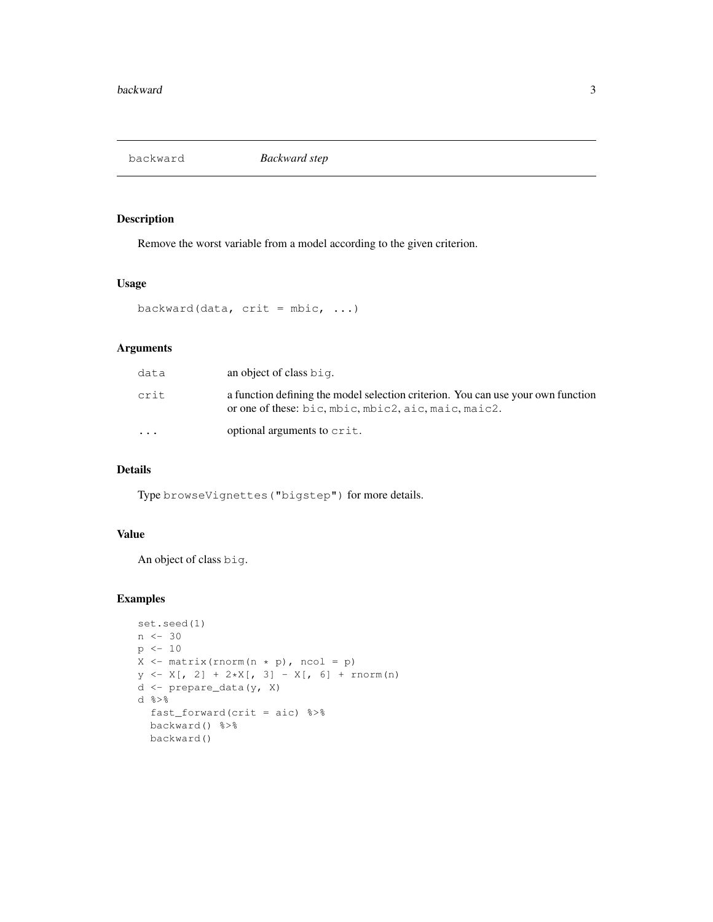backward *Backward step*

#### Description

Remove the worst variable from a model according to the given criterion.

#### Usage

```
backward(data, crit = mbic, ...)
```
# Arguments

| data      | an object of class big.                                                                                                                  |
|-----------|------------------------------------------------------------------------------------------------------------------------------------------|
| crit      | a function defining the model selection criterion. You can use your own function<br>or one of these: bic, mbic, mbic2, aic, maic, maic2. |
| $\ddotsc$ | optional arguments to crit.                                                                                                              |

## Details

Type browseVignettes("bigstep") for more details.

#### Value

An object of class big.

```
set.seed(1)
n \le -30p <- 10
X \leftarrow \text{matrix}(rnorm(n * p), ncol = p)y \leftarrow X[, 2] + 2*X[, 3] - X[, 6] + \text{norm}(n)d <- prepare_data(y, X)
d %>%
  fast_forward(crit = aic) %>%
  backward() %>%
  backward()
```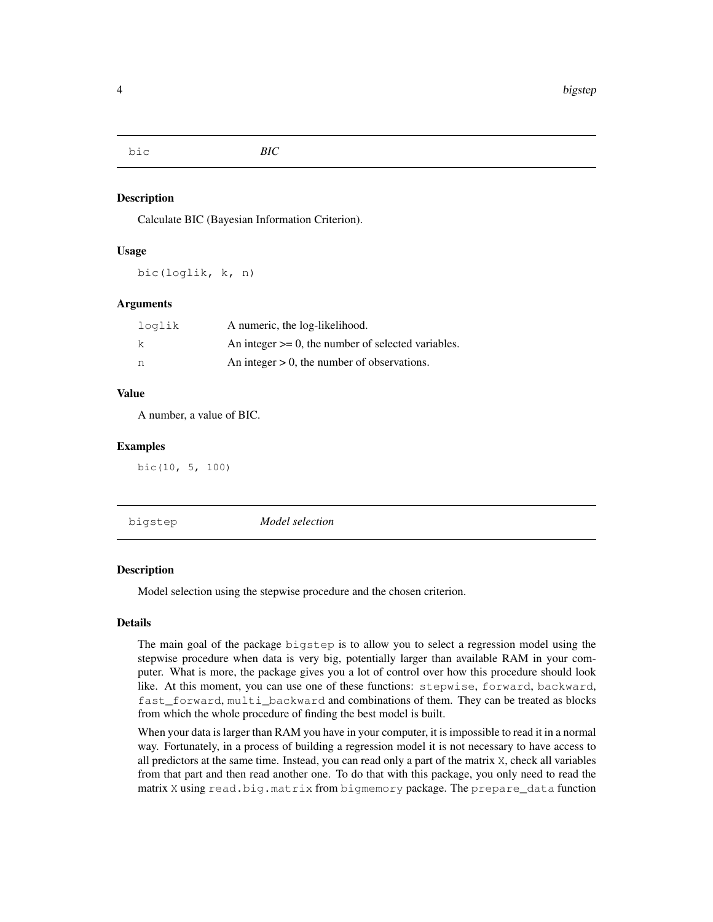bic *BIC*

## Description

Calculate BIC (Bayesian Information Criterion).

#### Usage

bic(loglik, k, n)

#### Arguments

| loglik | A numeric, the log-likelihood.                          |
|--------|---------------------------------------------------------|
| k      | An integer $\geq 0$ , the number of selected variables. |
| n      | An integer $> 0$ , the number of observations.          |

#### Value

A number, a value of BIC.

#### Examples

bic(10, 5, 100)

| bigstep | Model selection |
|---------|-----------------|
|         |                 |

# **Description**

Model selection using the stepwise procedure and the chosen criterion.

#### Details

The main goal of the package bigstep is to allow you to select a regression model using the stepwise procedure when data is very big, potentially larger than available RAM in your computer. What is more, the package gives you a lot of control over how this procedure should look like. At this moment, you can use one of these functions: stepwise, forward, backward, fast forward, multi backward and combinations of them. They can be treated as blocks from which the whole procedure of finding the best model is built.

When your data is larger than RAM you have in your computer, it is impossible to read it in a normal way. Fortunately, in a process of building a regression model it is not necessary to have access to all predictors at the same time. Instead, you can read only a part of the matrix X, check all variables from that part and then read another one. To do that with this package, you only need to read the matrix X using read.big.matrix from bigmemory package. The prepare\_data function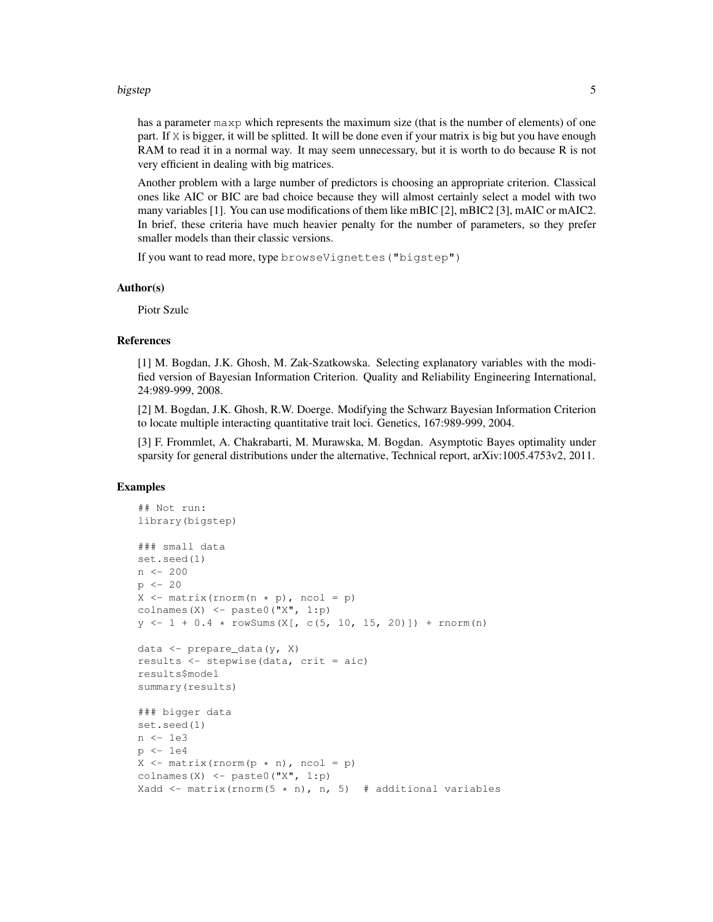#### bigstep 50 to 100 million to 100 million to 100 million to 100 million to 100 million to 100 million to 100 mi

has a parameter maxp which represents the maximum size (that is the number of elements) of one part. If X is bigger, it will be splitted. It will be done even if your matrix is big but you have enough RAM to read it in a normal way. It may seem unnecessary, but it is worth to do because R is not very efficient in dealing with big matrices.

Another problem with a large number of predictors is choosing an appropriate criterion. Classical ones like AIC or BIC are bad choice because they will almost certainly select a model with two many variables [1]. You can use modifications of them like mBIC [2], mBIC2 [3], mAIC or mAIC2. In brief, these criteria have much heavier penalty for the number of parameters, so they prefer smaller models than their classic versions.

If you want to read more, type browseVignettes("bigstep")

#### Author(s)

Piotr Szulc

#### References

[1] M. Bogdan, J.K. Ghosh, M. Zak-Szatkowska. Selecting explanatory variables with the modified version of Bayesian Information Criterion. Quality and Reliability Engineering International, 24:989-999, 2008.

[2] M. Bogdan, J.K. Ghosh, R.W. Doerge. Modifying the Schwarz Bayesian Information Criterion to locate multiple interacting quantitative trait loci. Genetics, 167:989-999, 2004.

[3] F. Frommlet, A. Chakrabarti, M. Murawska, M. Bogdan. Asymptotic Bayes optimality under sparsity for general distributions under the alternative, Technical report, arXiv:1005.4753v2, 2011.

```
## Not run:
library(bigstep)
### small data
set.seed(1)
n <- 200
p \leftarrow 20X \leftarrow matrix(rnorm(n * p), ncol = p)
colnames(X) <- paste0("X", 1:p)
y \leftarrow 1 + 0.4 * rowsums(X[, c(5, 10, 15, 20)]) + rnorm(n)data <- prepare_data(y, X)
results <- stepwise(data, crit = aic)
results$model
summary(results)
### bigger data
set.seed(1)
n <- 1e3
p <- 1e4
X \leftarrow matrix(rnorm(p * n), ncol = p)colnames(X) \leq paste0("X", 1:p)
Xadd <- matrix(rnorm(5 * n), n, 5) # additional variables
```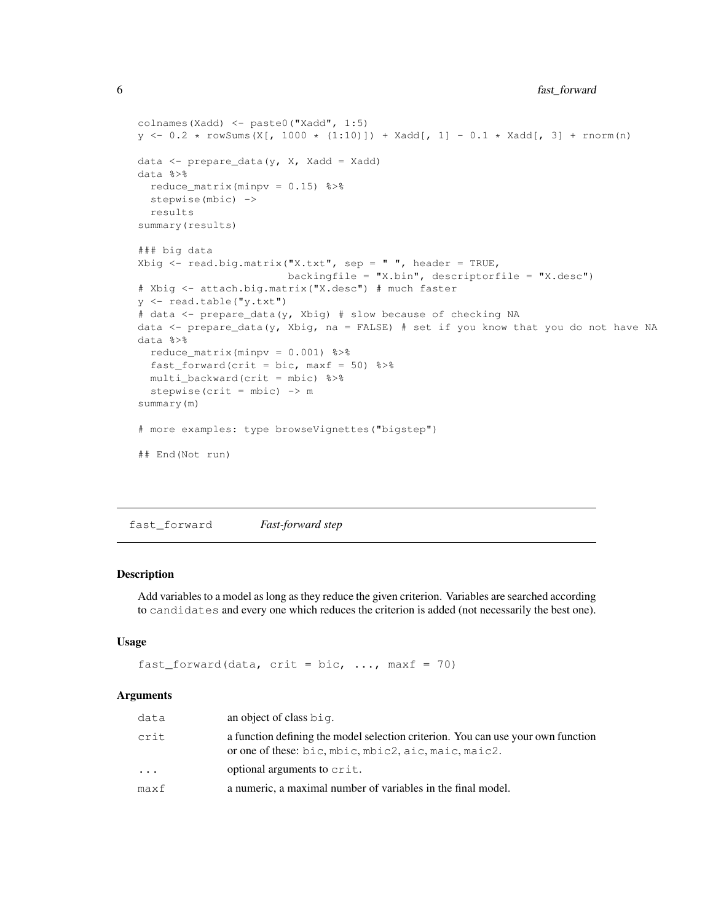```
colnames(Xadd) <- paste0("Xadd", 1:5)
y \leftarrow 0.2 * rowsums(X[, 1000 * (1:10)]) + Xadd[, 1] - 0.1 * Xadd[, 3] + norm(n)data \leq prepare_data(y, X, Xadd = Xadd)
data %>%
 reduce_matrix(minpv = 0.15) %>%
 stepwise(mbic) ->
 results
summary(results)
### big data
Xbig <- read.big.matrix("X.txt", sep = " ", header = TRUE,
                        backingfile = ''X.bin", descriptorfile = ''X.desc")
# Xbig <- attach.big.matrix("X.desc") # much faster
y <- read.table("y.txt")
# data <- prepare_data(y, Xbig) # slow because of checking NA
data <- prepare_data(y, Xbig, na = FALSE) # set if you know that you do not have NA
data %>%
  reduce_matrix(minpv = 0.001) %>%
 fast_forward(crit = bic, maxf = 50) 8>8multi_backward(crit = mbic) %>%
  stepwise(crit = mbic) -> msummary(m)
# more examples: type browseVignettes("bigstep")
## End(Not run)
```
fast\_forward *Fast-forward step*

#### Description

Add variables to a model as long as they reduce the given criterion. Variables are searched according to candidates and every one which reduces the criterion is added (not necessarily the best one).

#### Usage

```
fast_forward(data, crit = bic, ..., maxf = 70)
```
#### Arguments

| data    | an object of class big.                                                                                                                  |
|---------|------------------------------------------------------------------------------------------------------------------------------------------|
| crit    | a function defining the model selection criterion. You can use your own function<br>or one of these: bic, mbic, mbic2, aic, maic, maic2. |
| $\cdot$ | optional arguments to crit.                                                                                                              |
| maxf    | a numeric, a maximal number of variables in the final model.                                                                             |
|         |                                                                                                                                          |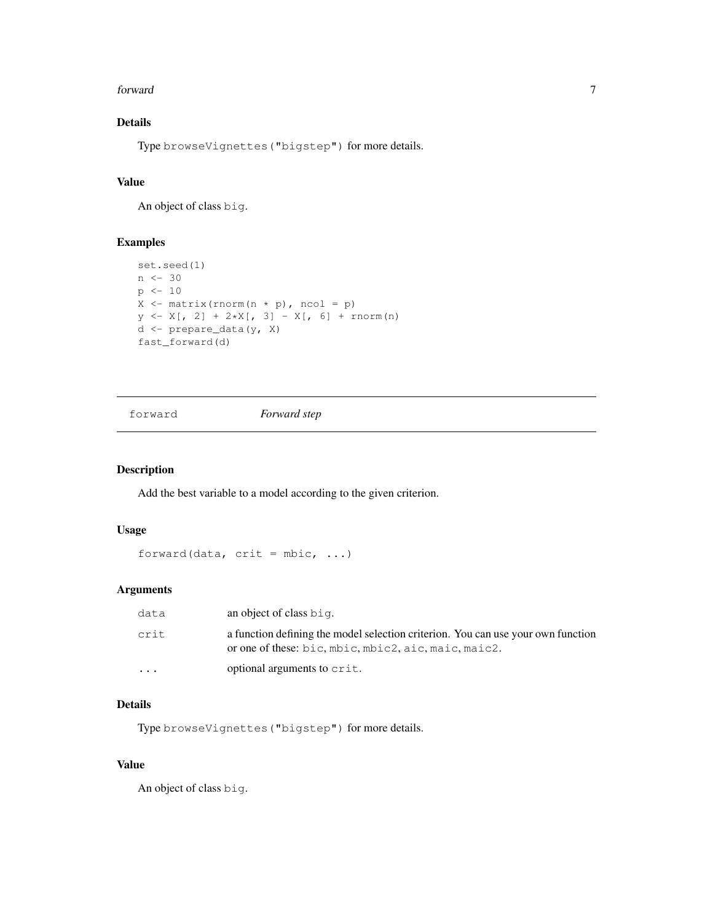#### forward 7 and 7 and 7 and 7 and 7 and 7 and 7 and 7 and 7 and 7 and 7 and 7 and 7 and 7 and 7 and 7 and 7 and 7 and 7 and 7 and 7 and 7 and 7 and 7 and 7 and 7 and 7 and 7 and 7 and 7 and 7 and 7 and 7 and 7 and 7 and 7 an

# Details

Type browseVignettes("bigstep") for more details.

## Value

An object of class big.

## Examples

```
set.seed(1)
n <- 30
p \leftarrow 10X \leftarrow matrix(rnorm(n * p), ncol = p)
y \leftarrow X[, 2] + 2*X[, 3] - X[, 6] + \text{norm}(n)d <- prepare_data(y, X)
fast_forward(d)
```
#### forward *Forward step*

## Description

Add the best variable to a model according to the given criterion.

#### Usage

```
forward(data, crit = mbic, ...)
```
#### Arguments

| data     | an object of class $bin$ .                                                                                                               |
|----------|------------------------------------------------------------------------------------------------------------------------------------------|
| crit     | a function defining the model selection criterion. You can use your own function<br>or one of these: bic, mbic, mbic2, aic, maic, maic2. |
| $\cdots$ | optional arguments to crit.                                                                                                              |

#### Details

Type browseVignettes("bigstep") for more details.

#### Value

An object of class big.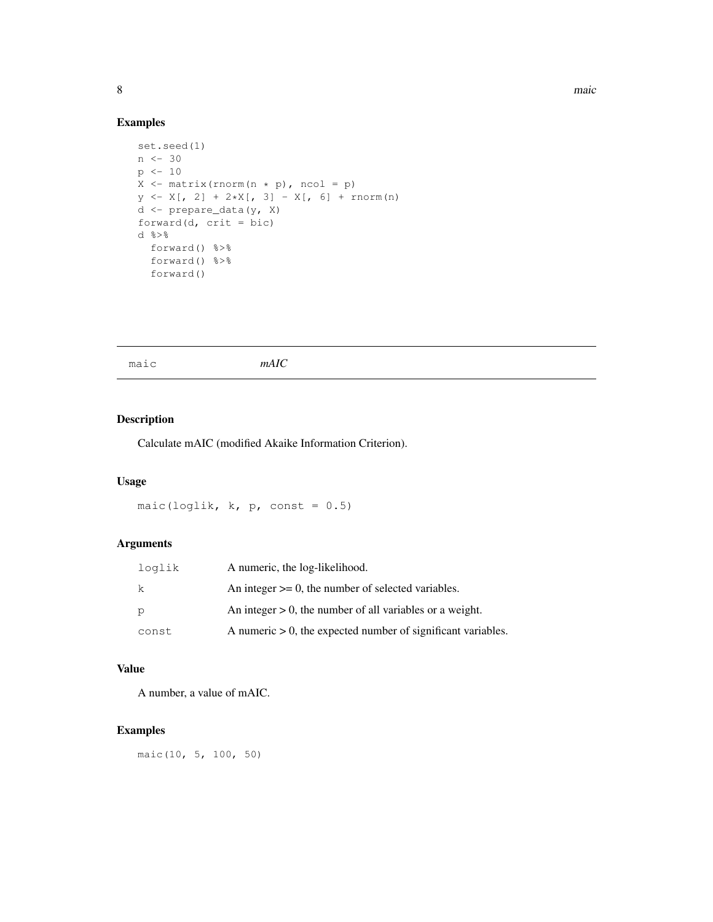# Examples

```
set.seed(1)
n <- 30
p \leftarrow 10X \leftarrow matrix( {rnorm(n * p), ncol = p})y \leftarrow X[, 2] + 2 \star X[, 3] - X[, 6] + \text{norm}(n)d <- prepare_data(y, X)
forward(d, crit = bic)
d \frac{6}{6} > \frac{6}{6}forward() %>%
  forward() %>%
  forward()
```
maic *mAIC*

## Description

Calculate mAIC (modified Akaike Information Criterion).

#### Usage

maic(loglik,  $k$ ,  $p$ , const = 0.5)

## Arguments

| loglik | A numeric, the log-likelihood.                                  |
|--------|-----------------------------------------------------------------|
| -k     | An integer $\geq 0$ , the number of selected variables.         |
| P      | An integer $> 0$ , the number of all variables or a weight.     |
| const  | A numeric $> 0$ , the expected number of significant variables. |

#### Value

A number, a value of mAIC.

# Examples

maic(10, 5, 100, 50)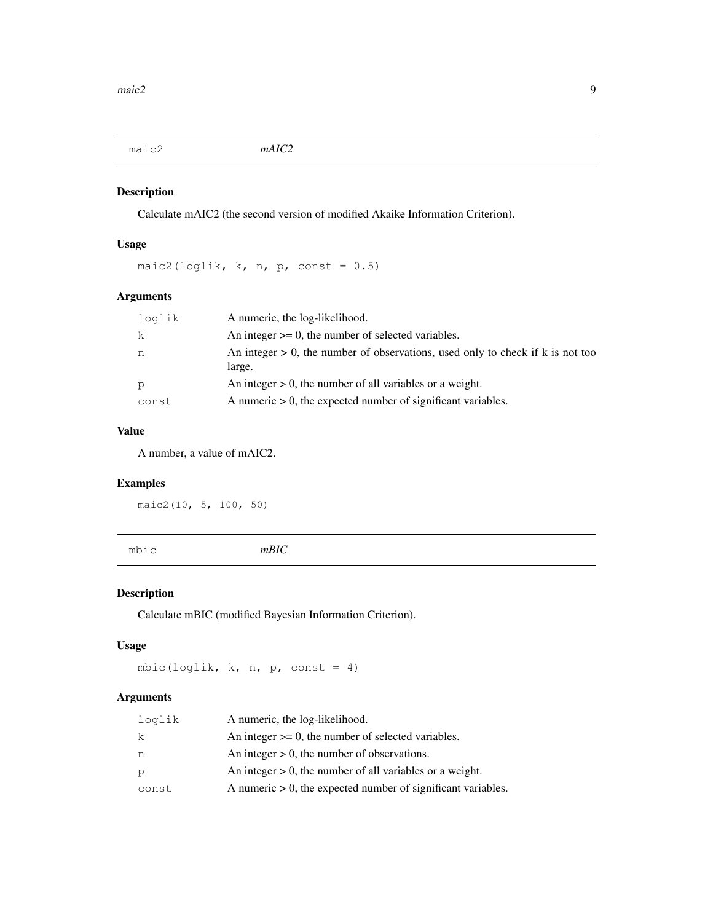maic2 *mAIC2*

# Description

Calculate mAIC2 (the second version of modified Akaike Information Criterion).

# Usage

maic2(loglik,  $k$ ,  $n$ ,  $p$ , const = 0.5)

# Arguments

| loqlik | A numeric, the log-likelihood.                                                              |
|--------|---------------------------------------------------------------------------------------------|
| k      | An integer $\geq 0$ , the number of selected variables.                                     |
| n      | An integer $> 0$ , the number of observations, used only to check if k is not too<br>large. |
| p      | An integer $> 0$ , the number of all variables or a weight.                                 |
| const  | A numeric $> 0$ , the expected number of significant variables.                             |

# Value

A number, a value of mAIC2.

## Examples

maic2(10, 5, 100, 50)

mbic *mBIC*

## Description

Calculate mBIC (modified Bayesian Information Criterion).

## Usage

mbic(loglik, k, n, p, const = 4)

## Arguments

| loglik | A numeric, the log-likelihood.                                  |
|--------|-----------------------------------------------------------------|
| k      | An integer $\geq 0$ , the number of selected variables.         |
| n      | An integer $> 0$ , the number of observations.                  |
| P      | An integer $> 0$ , the number of all variables or a weight.     |
| const  | A numeric $> 0$ , the expected number of significant variables. |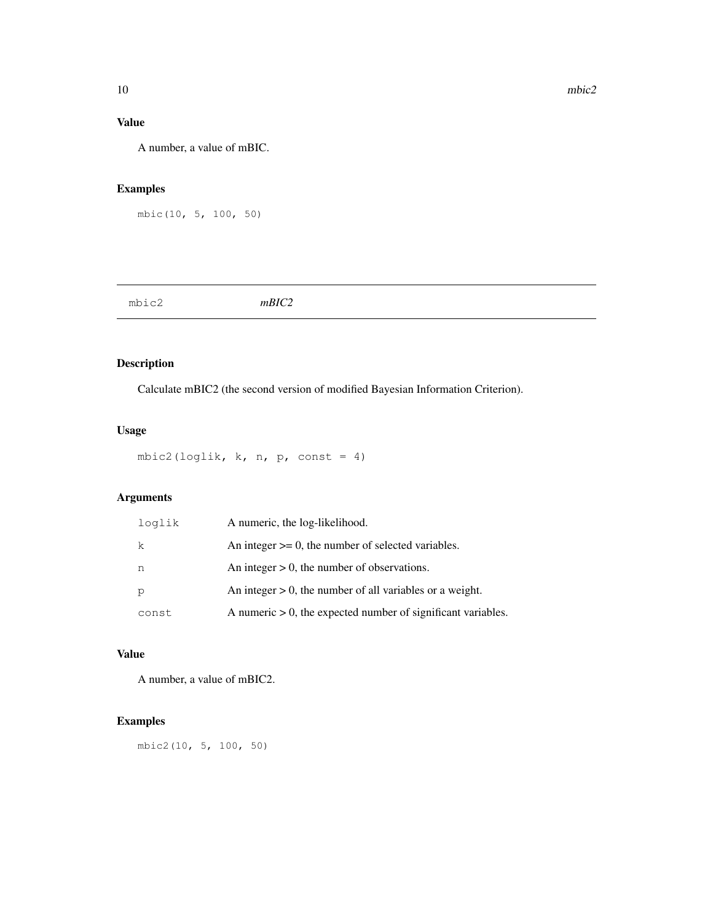## Value

A number, a value of mBIC.

# Examples

```
mbic(10, 5, 100, 50)
```
mbic2 *mBIC2*

## Description

Calculate mBIC2 (the second version of modified Bayesian Information Criterion).

## Usage

mbic2(loglik,  $k$ ,  $n$ ,  $p$ , const = 4)

## Arguments

| loglik | A numeric, the log-likelihood.                                  |
|--------|-----------------------------------------------------------------|
| k      | An integer $\geq 0$ , the number of selected variables.         |
| n      | An integer $> 0$ , the number of observations.                  |
| p      | An integer $> 0$ , the number of all variables or a weight.     |
| const  | A numeric $> 0$ , the expected number of significant variables. |

# Value

A number, a value of mBIC2.

# Examples

mbic2(10, 5, 100, 50)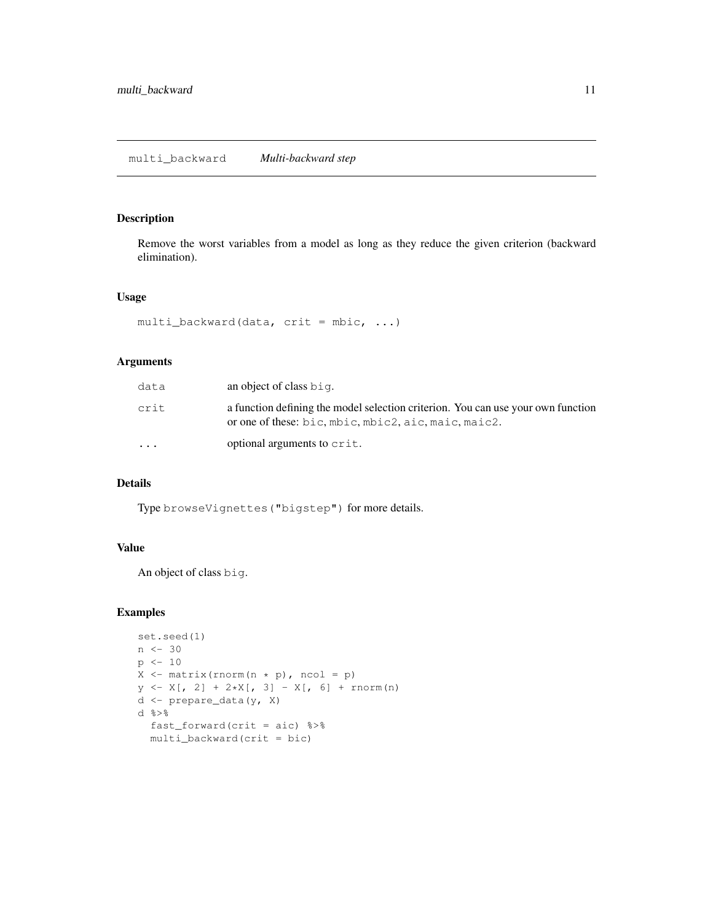## multi\_backward *Multi-backward step*

#### Description

Remove the worst variables from a model as long as they reduce the given criterion (backward elimination).

#### Usage

```
multi_backward(data, crit = mbic, ...)
```
#### Arguments

| data      | an object of class big.                                                                                                                  |
|-----------|------------------------------------------------------------------------------------------------------------------------------------------|
| crit      | a function defining the model selection criterion. You can use your own function<br>or one of these: bic, mbic, mbic2, aic, maic, maic2. |
| $\ddotsc$ | optional arguments to crit.                                                                                                              |

#### Details

Type browseVignettes("bigstep") for more details.

#### Value

An object of class big.

```
set.seed(1)
n \le -30p \leftarrow 10X \leftarrow \text{matrix}(rnorm(n * p), ncol = p)y \leftarrow X[, 2] + 2*X[, 3] - X[, 6] + \text{norm}(n)d <- prepare_data(y, X)
d %>%
  fast_forward(crit = aic) %>%
  multi_backward(crit = bic)
```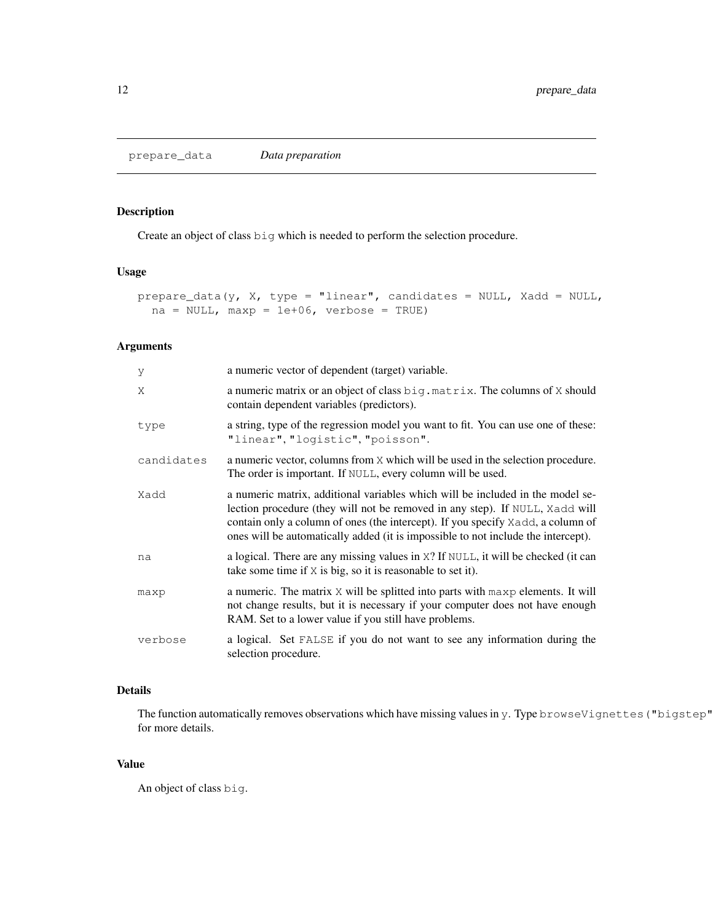# Description

Create an object of class big which is needed to perform the selection procedure.

## Usage

```
prepare_data(y, X, type = "linear", candidates = NULL, Xadd = NULL,
  na = NULL, maxp = 1e+06, verbose = TRUE)
```
# Arguments

| У          | a numeric vector of dependent (target) variable.                                                                                                                                                                                                                                                                                       |
|------------|----------------------------------------------------------------------------------------------------------------------------------------------------------------------------------------------------------------------------------------------------------------------------------------------------------------------------------------|
| X          | a numeric matrix or an object of class $\text{big.matrix}$ . The columns of X should<br>contain dependent variables (predictors).                                                                                                                                                                                                      |
| type       | a string, type of the regression model you want to fit. You can use one of these:<br>"linear", "logistic", "poisson".                                                                                                                                                                                                                  |
| candidates | a numeric vector, columns from X which will be used in the selection procedure.<br>The order is important. If NULL, every column will be used.                                                                                                                                                                                         |
| Xadd       | a numeric matrix, additional variables which will be included in the model se-<br>lection procedure (they will not be removed in any step). If NULL, Xadd will<br>contain only a column of ones (the intercept). If you specify Xadd, a column of<br>ones will be automatically added (it is impossible to not include the intercept). |
| na         | a logical. There are any missing values in $X$ ? If $NULL$ , it will be checked (it can<br>take some time if $X$ is big, so it is reasonable to set it).                                                                                                                                                                               |
| maxp       | a numeric. The matrix X will be splitted into parts with maxp elements. It will<br>not change results, but it is necessary if your computer does not have enough<br>RAM. Set to a lower value if you still have problems.                                                                                                              |
| verbose    | a logical. Set FALSE if you do not want to see any information during the<br>selection procedure.                                                                                                                                                                                                                                      |

#### Details

The function automatically removes observations which have missing values in y. Type browseVignettes ("bigstep" for more details.

#### Value

An object of class big.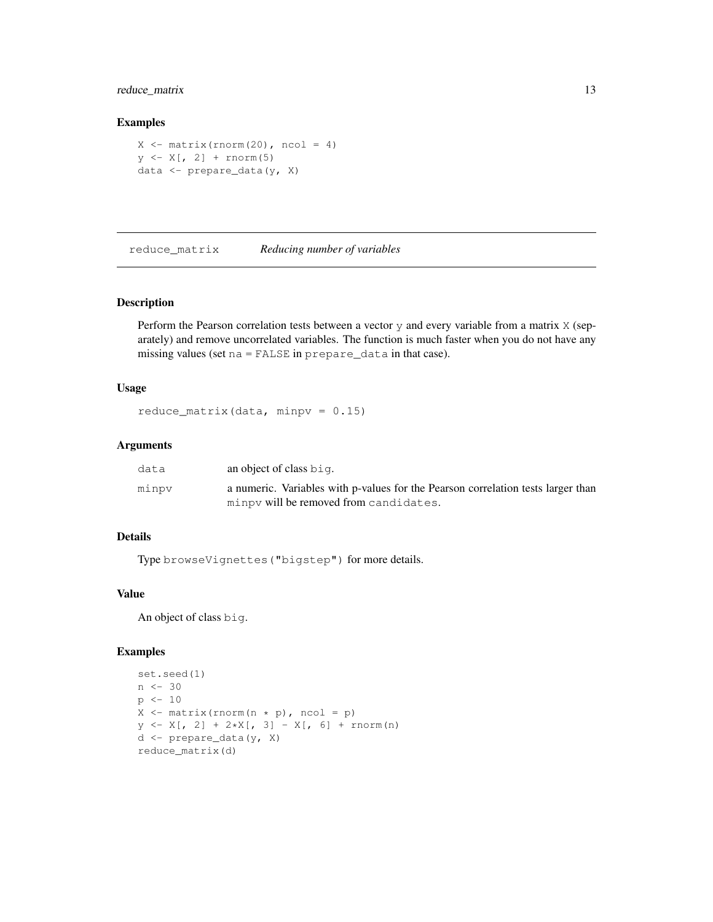## reduce\_matrix 13

#### Examples

```
X \leftarrow \text{matrix}(rnorm(20), ncol = 4)y \leftarrow X[, 2] + \text{norm}(5)data <- prepare_data(y, X)
```
reduce\_matrix *Reducing number of variables*

#### Description

Perform the Pearson correlation tests between a vector  $y$  and every variable from a matrix  $X$  (separately) and remove uncorrelated variables. The function is much faster when you do not have any missing values (set na = FALSE in prepare\_data in that case).

#### Usage

```
reduce_matrix(data, minpv = 0.15)
```
#### Arguments

| data  | an object of class big.                                                          |
|-------|----------------------------------------------------------------------------------|
| minpv | a numeric. Variables with p-values for the Pearson correlation tests larger than |
|       | minpy will be removed from candidates.                                           |

#### Details

Type browseVignettes("bigstep") for more details.

#### Value

An object of class big.

```
set.seed(1)
n \le -30p \leftarrow 10X \leftarrow \text{matrix}(rnorm(n * p), ncol = p)y \leftarrow X[, 2] + 2*X[, 3] - X[, 6] + \text{norm}(n)d <- prepare_data(y, X)
reduce_matrix(d)
```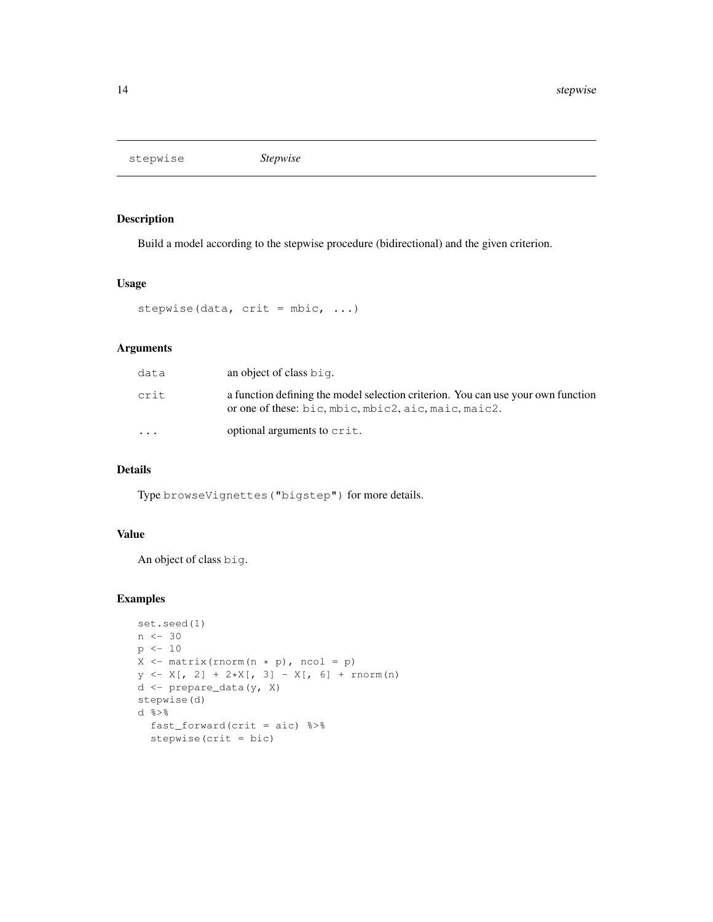stepwise *Stepwise*

#### Description

Build a model according to the stepwise procedure (bidirectional) and the given criterion.

#### Usage

```
stepwise(data, crit = mbic, ...)
```
# Arguments

| data      | an object of class big.                                                                                                                  |
|-----------|------------------------------------------------------------------------------------------------------------------------------------------|
| crit      | a function defining the model selection criterion. You can use your own function<br>or one of these: bic, mbic, mbic2, aic, maic, maic2. |
| $\ddotsc$ | optional arguments to crit.                                                                                                              |

## Details

Type browseVignettes("bigstep") for more details.

#### Value

An object of class big.

```
set.seed(1)
n \le -30p <- 10
X \leftarrow \text{matrix}(rnorm(n * p), ncol = p)y \leftarrow X[, 2] + 2*X[, 3] - X[, 6] + \text{norm}(n)d <- prepare_data(y, X)
stepwise(d)
d %>%
  fast_forward(crit = aic) %>%
  stepwise(crit = bic)
```